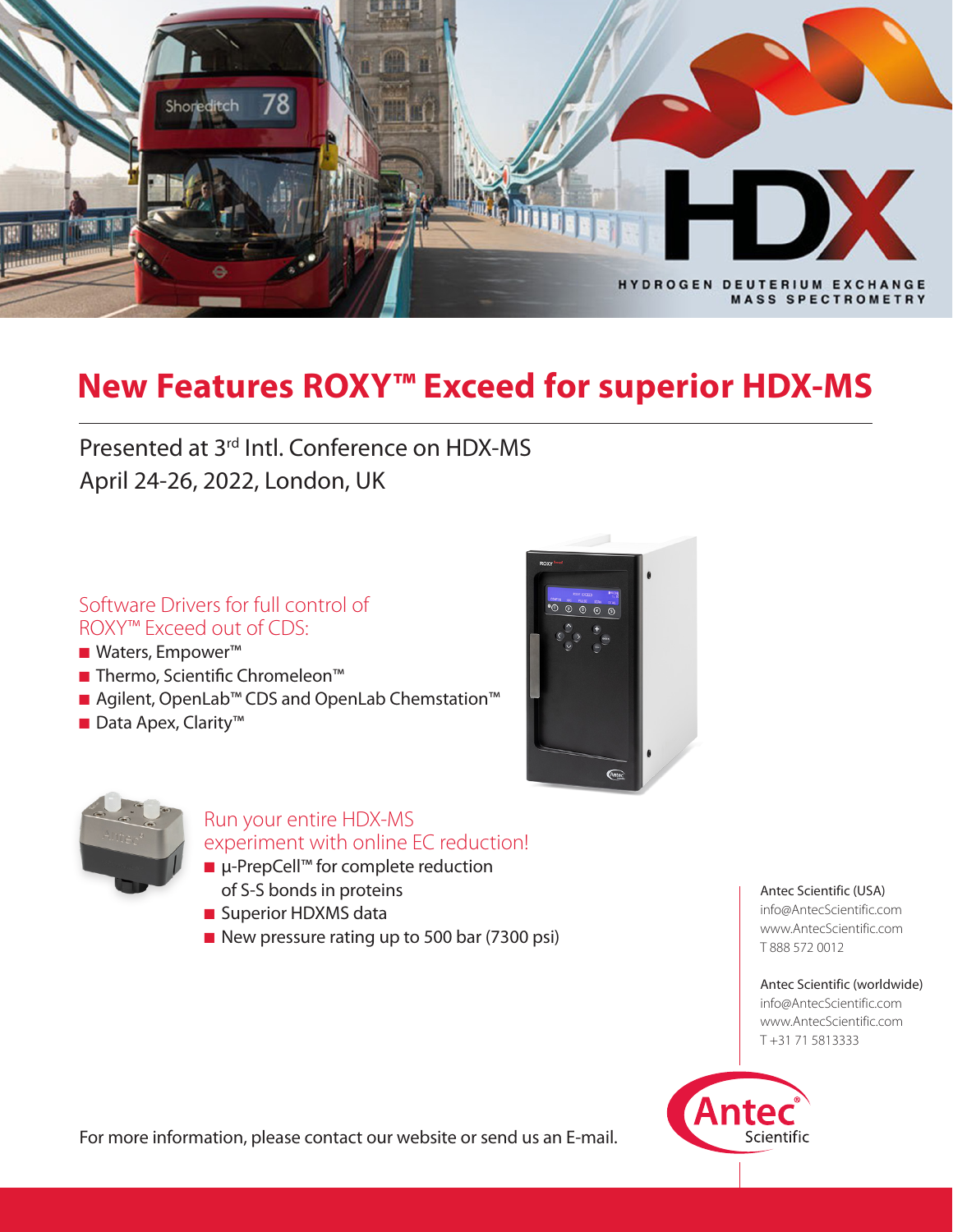

# **New Features ROXY™ Exceed for superior HDX-MS**

Presented at 3rd Intl. Conference on HDX-MS April 24-26, 2022, London, UK

# Software Drivers for full control of ROXY™ Exceed out of CDS:

- Waters, Empower™
- Thermo, Scientific Chromeleon<sup>™</sup>
- Agilent, OpenLab™ CDS and OpenLab Chemstation™
- Data Apex, Clarity<sup>™</sup>





# Run your entire HDX-MS experiment with online EC reduction!

- µ-PrepCell™ for complete reduction of S-S bonds in proteins
- Superior HDXMS data
- New pressure rating up to 500 bar (7300 psi)

Antec Scientific (USA)

info@AntecScientific.com www.AntecScientific.com T 888 572 0012

Antec Scientific (worldwide) info@AntecScientific.com www.AntecScientific.com T +31 71 5813333



For more information, please contact our website or send us an E-mail.